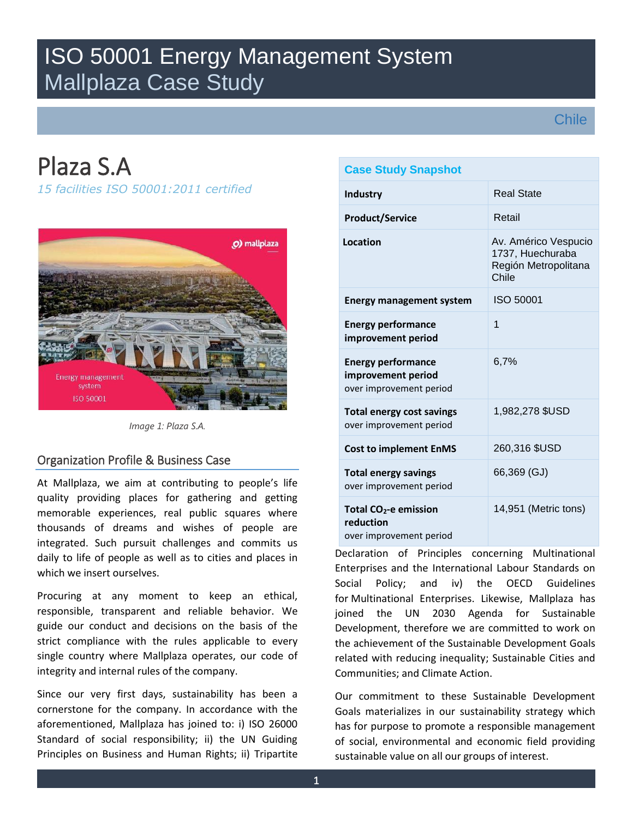# ISO 50001 Energy Management System Mallplaza Case Study

## **Chile**

# Plaza S.A

*15 facilities ISO 50001:2011 certified*



*Image 1: Plaza S.A.* 

### Organization Profile & Business Case

At Mallplaza, we aim at contributing to people's life quality providing places for gathering and getting memorable experiences, real public squares where thousands of dreams and wishes of people are integrated. Such pursuit challenges and commits us daily to life of people as well as to cities and places in which we insert ourselves.

Procuring at any moment to keep an ethical, responsible, transparent and reliable behavior. We guide our conduct and decisions on the basis of the strict compliance with the rules applicable to every single country where Mallplaza operates, our code of integrity and internal rules of the company.

Since our very first days, sustainability has been a cornerstone for the company. In accordance with the aforementioned, Mallplaza has joined to: i) ISO 26000 Standard of social responsibility; ii) the UN Guiding Principles on Business and Human Rights; ii) Tripartite

| <b>Case Study Snapshot</b>                                                 |                                                                           |
|----------------------------------------------------------------------------|---------------------------------------------------------------------------|
| <b>Industry</b>                                                            | <b>Real State</b>                                                         |
| <b>Product/Service</b>                                                     | Retail                                                                    |
| Location                                                                   | Av. Américo Vespucio<br>1737, Huechuraba<br>Región Metropolitana<br>Chile |
| <b>Energy management system</b>                                            | <b>ISO 50001</b>                                                          |
| <b>Energy performance</b><br>improvement period                            | 1                                                                         |
| <b>Energy performance</b><br>improvement period<br>over improvement period | 6.7%                                                                      |
| <b>Total energy cost savings</b><br>over improvement period                | 1,982,278 \$USD                                                           |
| <b>Cost to implement EnMS</b>                                              | 260,316 \$USD                                                             |
| <b>Total energy savings</b><br>over improvement period                     | 66,369 (GJ)                                                               |
| Total $CO2$ -e emission<br>reduction<br>over improvement period            | 14,951 (Metric tons)                                                      |

Declaration of Principles concerning Multinational Enterprises and the International Labour Standards on Social Policy; and iv) the OECD Guidelines for Multinational Enterprises. Likewise, Mallplaza has joined the UN 2030 Agenda for Sustainable Development, therefore we are committed to work on the achievement of the Sustainable Development Goals related with reducing inequality; Sustainable Cities and Communities; and Climate Action.

Our commitment to these Sustainable Development Goals materializes in our sustainability strategy which has for purpose to promote a responsible management of social, environmental and economic field providing sustainable value on all our groups of interest.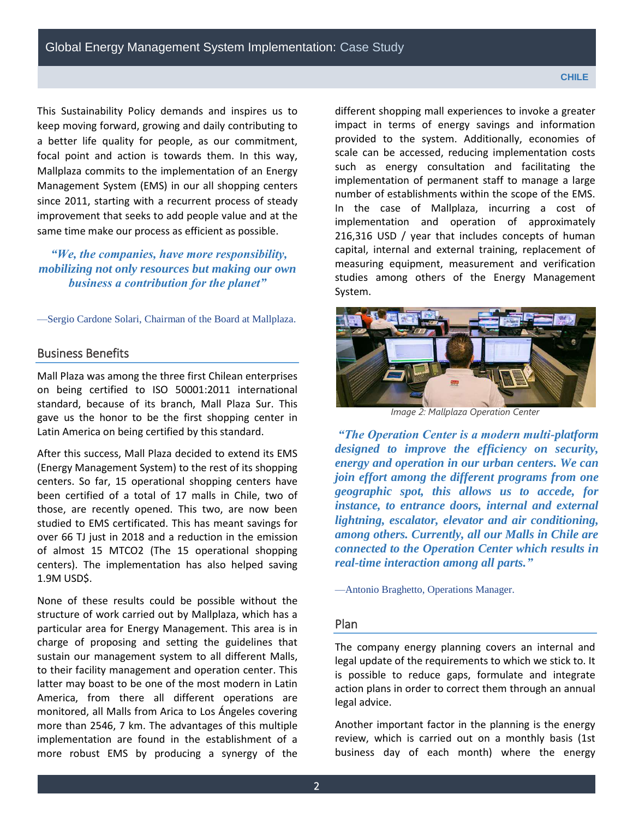This Sustainability Policy demands and inspires us to keep moving forward, growing and daily contributing to a better life quality for people, as our commitment, focal point and action is towards them. In this way, Mallplaza commits to the implementation of an Energy Management System (EMS) in our all shopping centers since 2011, starting with a recurrent process of steady improvement that seeks to add people value and at the same time make our process as efficient as possible.

### *"We, the companies, have more responsibility, mobilizing not only resources but making our own business a contribution for the planet"*

—Sergio Cardone Solari, Chairman of the Board at Mallplaza.

#### Business Benefits

Mall Plaza was among the three first Chilean enterprises on being certified to ISO 50001:2011 international standard, because of its branch, Mall Plaza Sur. This gave us the honor to be the first shopping center in Latin America on being certified by this standard.

After this success, Mall Plaza decided to extend its EMS (Energy Management System) to the rest of its shopping centers. So far, 15 operational shopping centers have been certified of a total of 17 malls in Chile, two of those, are recently opened. This two, are now been studied to EMS certificated. This has meant savings for over 66 TJ just in 2018 and a reduction in the emission of almost 15 MTCO2 (The 15 operational shopping centers). The implementation has also helped saving 1.9M USD\$.

None of these results could be possible without the structure of work carried out by Mallplaza, which has a particular area for Energy Management. This area is in charge of proposing and setting the guidelines that sustain our management system to all different Malls, to their facility management and operation center. This latter may boast to be one of the most modern in Latin America, from there all different operations are monitored, all Malls from Arica to Los Ángeles covering more than 2546, 7 km. The advantages of this multiple implementation are found in the establishment of a more robust EMS by producing a synergy of the different shopping mall experiences to invoke a greater impact in terms of energy savings and information provided to the system. Additionally, economies of scale can be accessed, reducing implementation costs such as energy consultation and facilitating the implementation of permanent staff to manage a large number of establishments within the scope of the EMS. In the case of Mallplaza, incurring a cost of implementation and operation of approximately 216,316 USD / year that includes concepts of human capital, internal and external training, replacement of measuring equipment, measurement and verification studies among others of the Energy Management System.



*Image 2: Mallplaza Operation Center* 

*"The Operation Center is a modern multi-platform designed to improve the efficiency on security, energy and operation in our urban centers. We can join effort among the different programs from one geographic spot, this allows us to accede, for instance, to entrance doors, internal and external lightning, escalator, elevator and air conditioning, among others. Currently, all our Malls in Chile are connected to the Operation Center which results in real-time interaction among all parts."*

—Antonio Braghetto, Operations Manager.

#### Plan

The company energy planning covers an internal and legal update of the requirements to which we stick to. It is possible to reduce gaps, formulate and integrate action plans in order to correct them through an annual legal advice.

Another important factor in the planning is the energy review, which is carried out on a monthly basis (1st business day of each month) where the energy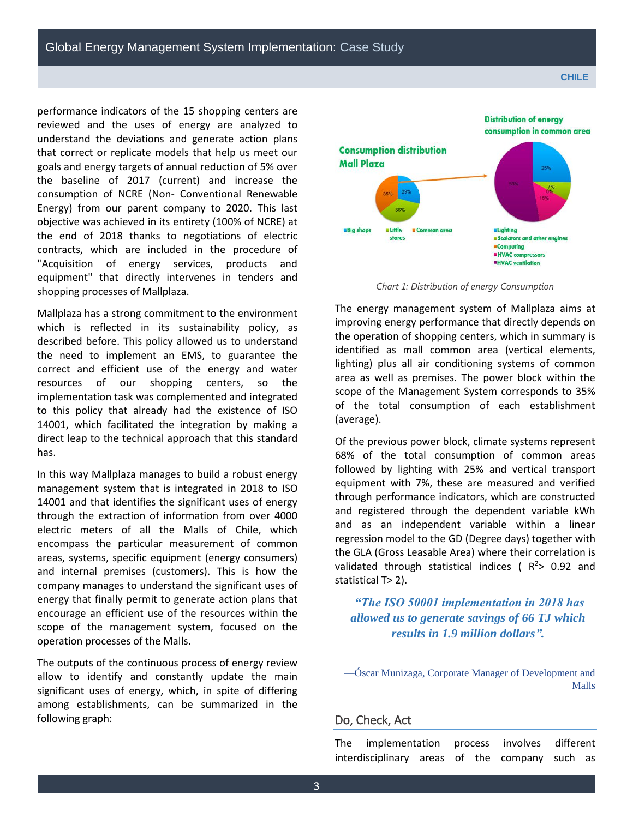performance indicators of the 15 shopping centers are reviewed and the uses of energy are analyzed to understand the deviations and generate action plans that correct or replicate models that help us meet our goals and energy targets of annual reduction of 5% over the baseline of 2017 (current) and increase the consumption of NCRE (Non- Conventional Renewable Energy) from our parent company to 2020. This last objective was achieved in its entirety (100% of NCRE) at the end of 2018 thanks to negotiations of electric contracts, which are included in the procedure of "Acquisition of energy services, products and equipment" that directly intervenes in tenders and shopping processes of Mallplaza.

Mallplaza has a strong commitment to the environment which is reflected in its sustainability policy, as described before. This policy allowed us to understand the need to implement an EMS, to guarantee the correct and efficient use of the energy and water resources of our shopping centers, so the implementation task was complemented and integrated to this policy that already had the existence of ISO 14001, which facilitated the integration by making a direct leap to the technical approach that this standard has.

In this way Mallplaza manages to build a robust energy management system that is integrated in 2018 to ISO 14001 and that identifies the significant uses of energy through the extraction of information from over 4000 electric meters of all the Malls of Chile, which encompass the particular measurement of common areas, systems, specific equipment (energy consumers) and internal premises (customers). This is how the company manages to understand the significant uses of energy that finally permit to generate action plans that encourage an efficient use of the resources within the scope of the management system, focused on the operation processes of the Malls.

The outputs of the continuous process of energy review allow to identify and constantly update the main significant uses of energy, which, in spite of differing among establishments, can be summarized in the following graph:



*Chart 1: Distribution of energy Consumption* 

The energy management system of Mallplaza aims at improving energy performance that directly depends on the operation of shopping centers, which in summary is identified as mall common area (vertical elements, lighting) plus all air conditioning systems of common area as well as premises. The power block within the scope of the Management System corresponds to 35% of the total consumption of each establishment (average).

Of the previous power block, climate systems represent 68% of the total consumption of common areas followed by lighting with 25% and vertical transport equipment with 7%, these are measured and verified through performance indicators, which are constructed and registered through the dependent variable kWh and as an independent variable within a linear regression model to the GD (Degree days) together with the GLA (Gross Leasable Area) where their correlation is validated through statistical indices ( $R^2$ > 0.92 and statistical T> 2).

*"The ISO 50001 implementation in 2018 has allowed us to generate savings of 66 TJ which results in 1.9 million dollars".* 

—Óscar Munizaga, Corporate Manager of Development and Malls

#### Do, Check, Act

The implementation process involves different interdisciplinary areas of the company such as

**Distribution of energy**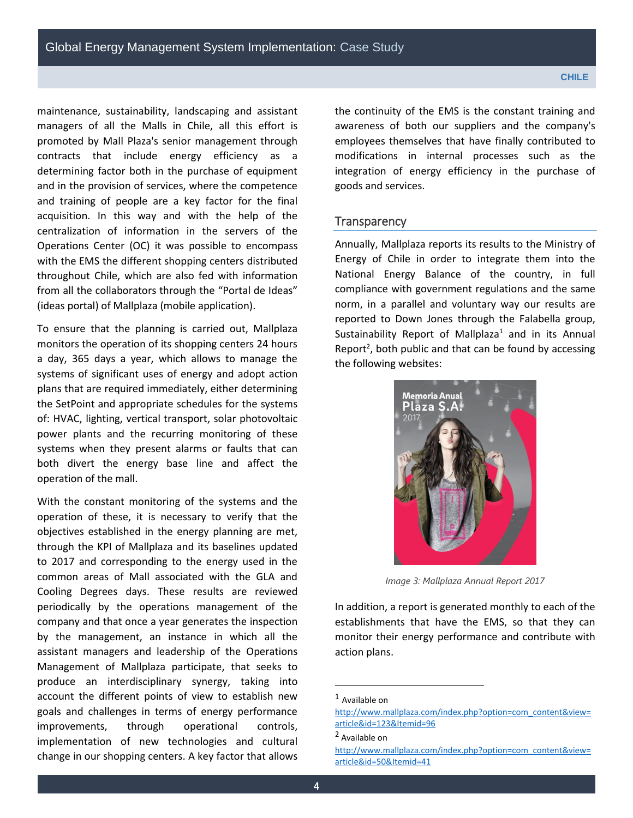maintenance, sustainability, landscaping and assistant managers of all the Malls in Chile, all this effort is promoted by Mall Plaza's senior management through contracts that include energy efficiency as a determining factor both in the purchase of equipment and in the provision of services, where the competence and training of people are a key factor for the final acquisition. In this way and with the help of the centralization of information in the servers of the Operations Center (OC) it was possible to encompass with the EMS the different shopping centers distributed throughout Chile, which are also fed with information from all the collaborators through the "Portal de Ideas" (ideas portal) of Mallplaza (mobile application).

To ensure that the planning is carried out, Mallplaza monitors the operation of its shopping centers 24 hours a day, 365 days a year, which allows to manage the systems of significant uses of energy and adopt action plans that are required immediately, either determining the SetPoint and appropriate schedules for the systems of: HVAC, lighting, vertical transport, solar photovoltaic power plants and the recurring monitoring of these systems when they present alarms or faults that can both divert the energy base line and affect the operation of the mall.

With the constant monitoring of the systems and the operation of these, it is necessary to verify that the objectives established in the energy planning are met, through the KPI of Mallplaza and its baselines updated to 2017 and corresponding to the energy used in the common areas of Mall associated with the GLA and Cooling Degrees days. These results are reviewed periodically by the operations management of the company and that once a year generates the inspection by the management, an instance in which all the assistant managers and leadership of the Operations Management of Mallplaza participate, that seeks to produce an interdisciplinary synergy, taking into account the different points of view to establish new goals and challenges in terms of energy performance improvements, through operational controls, implementation of new technologies and cultural change in our shopping centers. A key factor that allows the continuity of the EMS is the constant training and awareness of both our suppliers and the company's employees themselves that have finally contributed to modifications in internal processes such as the integration of energy efficiency in the purchase of goods and services.

#### **Transparency**

Annually, Mallplaza reports its results to the Ministry of Energy of Chile in order to integrate them into the National Energy Balance of the country, in full compliance with government regulations and the same norm, in a parallel and voluntary way our results are reported to Down Jones through the Falabella group, Sustainability Report of Mallplaza<sup>1</sup> and in its Annual Report<sup>2</sup>, both public and that can be found by accessing the following websites:



*Image 3: Mallplaza Annual Report 2017* 

In addition, a report is generated monthly to each of the establishments that have the EMS, so that they can monitor their energy performance and contribute with action plans.

l

<sup>1</sup> Available on

[http://www.mallplaza.com/index.php?option=com\\_content&view=](http://www.mallplaza.com/index.php?option=com_content&view=article&id=123&Itemid=96) [article&id=123&Itemid=96](http://www.mallplaza.com/index.php?option=com_content&view=article&id=123&Itemid=96)

<sup>2</sup> Available on

[http://www.mallplaza.com/index.php?option=com\\_content&view=](http://www.mallplaza.com/index.php?option=com_content&view=article&id=50&Itemid=41) [article&id=50&Itemid=41](http://www.mallplaza.com/index.php?option=com_content&view=article&id=50&Itemid=41)